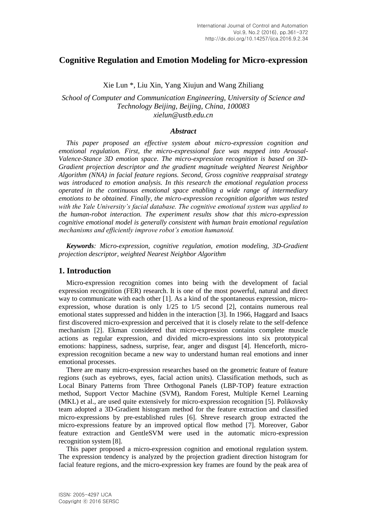# **Cognitive Regulation and Emotion Modeling for Micro-expression**

Xie Lun \*, Liu Xin, Yang Xiujun and Wang Zhiliang

*School of Computer and Communication Engineering, University of Science and Technology Beijing, Beijing, China, 100083 xielun@ustb.edu.cn*

#### *Abstract*

*This paper proposed an effective system about micro-expression cognition and emotional regulation. First, the micro-expressional face was mapped into Arousal-Valence-Stance 3D emotion space. The micro-expression recognition is based on 3D-Gradient projection descriptor and the gradient magnitude weighted Nearest Neighbor Algorithm (NNA) in facial feature regions. Second, Gross cognitive reappraisal strategy was introduced to emotion analysis. In this research the emotional regulation process operated in the continuous emotional space enabling a wide range of intermediary emotions to be obtained. Finally, the micro-expression recognition algorithm was tested with the Yale University's facial database. The cognitive emotional system was applied to the human-robot interaction. The experiment results show that this micro-expression cognitive emotional model is generally consistent with human brain emotional regulation mechanisms and efficiently improve robot's emotion humanoid.*

*Keywords: Micro-expression, cognitive regulation, emotion modeling, 3D-Gradient projection descriptor, weighted Nearest Neighbor Algorithm*

## **1. Introduction**

Micro-expression recognition comes into being with the development of facial expression recognition (FER) research. It is one of the most powerful, natural and direct way to communicate with each other [1]. As a kind of the spontaneous expression, microexpression, whose duration is only 1/25 to 1/5 second [2], contains numerous real emotional states suppressed and hidden in the interaction [3]. In 1966, Haggard and Isaacs first discovered micro-expression and perceived that it is closely relate to the self-defence mechanism [2]. Ekman considered that micro-expression contains complete muscle actions as regular expression, and divided micro-expressions into six prototypical emotions: happiness, sadness, surprise, fear, anger and disgust [4]. Henceforth, microexpression recognition became a new way to understand human real emotions and inner emotional processes.

There are many micro-expression researches based on the geometric feature of feature regions (such as eyebrows, eyes, facial action units). Classification methods, such as Local Binary Patterns from Three Orthogonal Panels (LBP-TOP) feature extraction method, Support Vector Machine (SVM), Random Forest, Multiple Kernel Learning (MKL) et al., are used quite extensively for micro-expression recognition [5]. Polikovsky team adopted a 3D-Gradient histogram method for the feature extraction and classified micro-expressions by pre-established rules [6]. Shreve research group extracted the micro-expressions feature by an improved optical flow method [7]. Moreover, Gabor feature extraction and GentleSVM were used in the automatic micro-expression recognition system [8].

This paper proposed a micro-expression cognition and emotional regulation system. The expression tendency is analyzed by the projection gradient direction histogram for facial feature regions, and the micro-expression key frames are found by the peak area of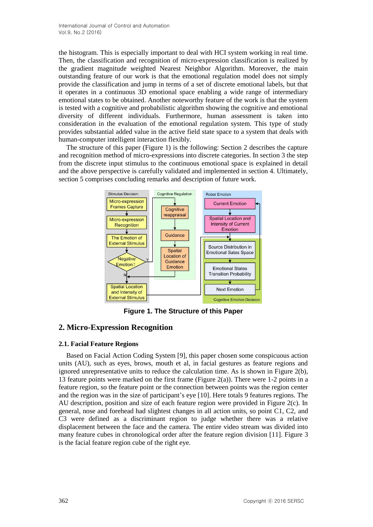the histogram. This is especially important to deal with HCI system working in real time. Then, the classification and recognition of micro-expression classification is realized by the gradient magnitude weighted Nearest Neighbor Algorithm. Moreover, the main outstanding feature of our work is that the emotional regulation model does not simply provide the classification and jump in terms of a set of discrete emotional labels, but that it operates in a continuous 3D emotional space enabling a wide range of intermediary emotional states to be obtained. Another noteworthy feature of the work is that the system is tested with a cognitive and probabilistic algorithm showing the cognitive and emotional diversity of different individuals. Furthermore, human assessment is taken into consideration in the evaluation of the emotional regulation system. This type of study provides substantial added value in the active field state space to a system that deals with human-computer intelligent interaction flexibly.

The structure of this paper (Figure 1) is the following: Section 2 describes the capture and recognition method of micro-expressions into discrete categories. In section 3 the step from the discrete input stimulus to the continuous emotional space is explained in detail and the above perspective is carefully validated and implemented in section 4. Ultimately, section 5 comprises concluding remarks and description of future work.



**Figure 1. The Structure of this Paper**

# **2. Micro-Expression Recognition**

## **2.1. Facial Feature Regions**

Based on Facial Action Coding System [9], this paper chosen some conspicuous action units (AU), such as eyes, brows, mouth et al, in facial gestures as feature regions and ignored unrepresentative units to reduce the calculation time. As is shown in Figure 2(b), 13 feature points were marked on the first frame (Figure 2(a)). There were 1-2 points in a feature region, so the feature point or the connection between points was the region center and the region was in the size of participant's eye [10]. Here totals 9 features regions. The AU description, position and size of each feature region were provided in Figure 2(c). In general, nose and forehead had slightest changes in all action units, so point C1, C2, and C3 were defined as a discriminant region to judge whether there was a relative displacement between the face and the camera. The entire video stream was divided into many feature cubes in chronological order after the feature region division [11]. Figure 3 is the facial feature region cube of the right eye.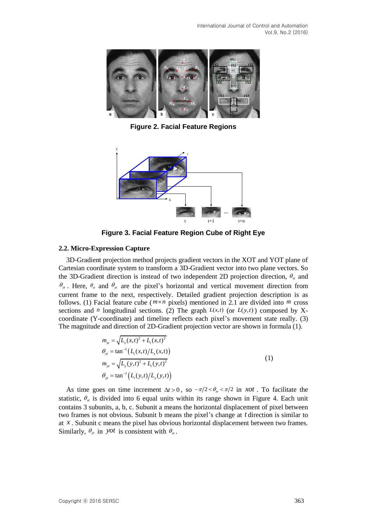

**Figure 2. Facial Feature Regions**



**Figure 3. Facial Feature Region Cube of Right Eye**

### **2.2. Micro-Expression Capture**

3D-Gradient projection method projects gradient vectors in the XOT and YOT plane of Cartesian coordinate system to transform a 3D-Gradient vector into two plane vectors. So the 3D-Gradient direction is instead of two independent 2D projection direction,  $\theta_{\rm at}$  and  $\theta_{y}$ . Here,  $\theta_{x}$  and  $\theta_{y}$  are the pixel's horizontal and vertical movement direction from current frame to the next, respectively. Detailed gradient projection description is as follows. (1) Facial feature cube ( $m \times n$  pixels) mentioned in 2.1 are divided into  $m$  cross sections and *n* longitudinal sections. (2) The graph  $L(x,t)$  (or  $L(y,t)$ ) composed by Xcoordinate (Y-coordinate) and timeline reflects each pixel's movement state really. (3) The magnitude and direction of 2D-Gradient projection vector are shown in formula (1).

$$
m_{xt} = \sqrt{L_x(x,t)^2 + L_t(x,t)^2}
$$
  
\n
$$
\theta_{xt} = \tan^{-1}(L_t(x,t)/L_x(x,t))
$$
  
\n
$$
m_{yt} = \sqrt{L_y(y,t)^2 + L_t(y,t)^2}
$$
  
\n
$$
\theta_{yt} = \tan^{-1}(L_t(y,t)/L_y(y,t))
$$
\n(1)

As time goes on time increment  $\Delta t > 0$ , so  $-\pi/2 < \theta_{\pi} < \pi/2$  in *xot*. To facilitate the statistic,  $\theta_{x}$  is divided into 6 equal units within its range shown in Figure 4. Each unit contains 3 subunits, a, b, c. Subunit a means the horizontal displacement of pixel between two frames is not obvious. Subunit b means the pixel's change at *t* direction is similar to at  $x$ . Subunit c means the pixel has obvious horizontal displacement between two frames. Similarly,  $\theta_{y_t}$  in yot is consistent with  $\theta_{x_t}$ .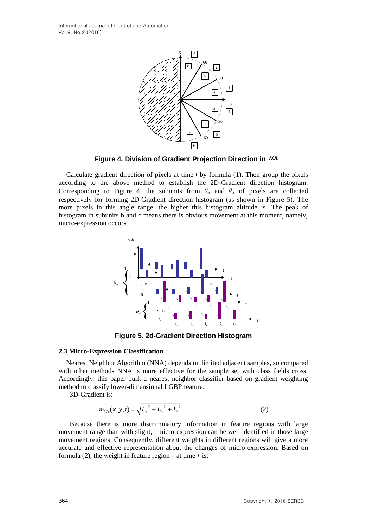

**Figure 4. Division of Gradient Projection Direction in**  *xot*

Calculate gradient direction of pixels at time *t* by formula (1). Then group the pixels according to the above method to establish the 2D-Gradient direction histogram. Corresponding to Figure 4, the subunits from  $\theta_{x}$  and  $\theta_{y}$  of pixels are collected respectively for forming 2D-Gradient direction histogram (as shown in Figure 5). The more pixels in this angle range, the higher this histogram altitude is. The peak of histogram in subunits b and c means there is obvious movement at this moment, namely, micro-expression occurs.



**Figure 5. 2d-Gradient Direction Histogram**

## **2.3 Micro-Expression Classification**

Nearest Neighbor Algorithm (NNA) depends on limited adjacent samples, so compared with other methods NNA is more effective for the sample set with class fields cross. Accordingly, this paper built a nearest neighbor classifier based on gradient weighting method to classify lower-dimensional LGBP feature.

3D-Gradient is:

$$
m_{3D}(x, y, t) = \sqrt{L_x^2 + L_y^2 + L_t^2}
$$
 (2)

 Because there is more discriminatory information in feature regions with large movement range than with slight, micro-expression can be well identified in those large movement regions. Consequently, different weights in different regions will give a more accurate and effective representation about the changes of micro-expression. Based on formula (2), the weight in feature region  $i$  at time  $t$  is: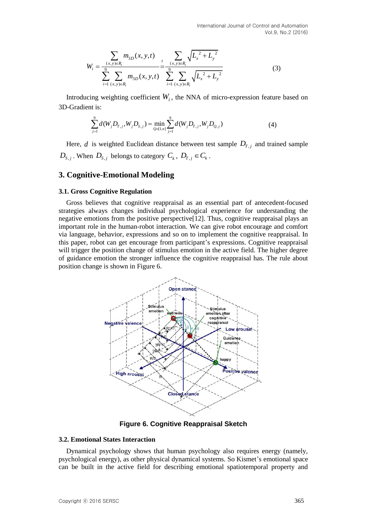$$
W_{i} = \frac{\sum_{(x,y)\in R_{i}} m_{3D}(x,y,t)}{\sum_{i=1}^{9} \sum_{(x,y)\in R_{i}} m_{3D}(x,y,t)} = \frac{\sum_{(x,y)\in R_{i}} \sqrt{L_{x}^{2} + L_{y}^{2}}}{\sum_{i=1}^{9} \sum_{(x,y)\in R_{i}} \sqrt{L_{x}^{2} + L_{y}^{2}}}
$$
(3)

Introducing weighting coefficient  $W_i$ , the NNA of micro-expression feature based on 3D-Gradient is:

$$
\int_{j=1}^{9} d(W_j D_{T,j}, W_j D_{S,j}) = \min_{Q \in [1,n]} \sum_{j=1}^{9} d(W_j D_{T,j}, W_j D_{Q,j})
$$
(4)

Here,  $d$  is weighted Euclidean distance between test sample  $D_{T,j}$  and trained sample  $D_{S,j}$ . When  $D_{S,j}$  belongs to category  $C_k$ ,  $D_{T,j} \in C_k$ .

## **3. Cognitive-Emotional Modeling**

#### **3.1. Gross Cognitive Regulation**

Gross believes that cognitive reappraisal as an essential part of antecedent-focused strategies always changes individual psychological experience for understanding the negative emotions from the positive perspective[12]. Thus, cognitive reappraisal plays an important role in the human-robot interaction. We can give robot encourage and comfort via language, behavior, expressions and so on to implement the cognitive reappraisal. In this paper, robot can get encourage from participant's expressions. Cognitive reappraisal will trigger the position change of stimulus emotion in the active field. The higher degree of guidance emotion the stronger influence the cognitive reappraisal has. The rule about position change is shown in Figure 6.



**Figure 6. Cognitive Reappraisal Sketch**

#### **3.2. Emotional States Interaction**

Dynamical psychology shows that human psychology also requires energy (namely, psychological energy), as other physical dynamical systems. So Kismet's emotional space can be built in the active field for describing emotional spatiotemporal property and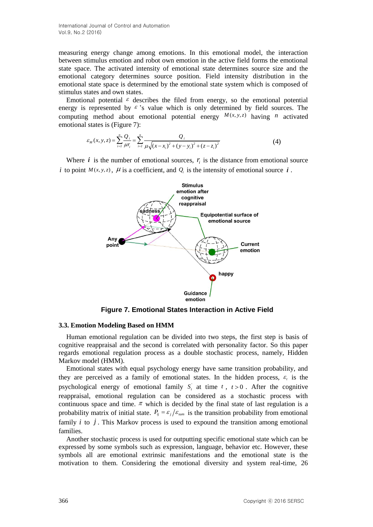International Journal of Control and Automation Vol.9, No.2 (2016)

measuring energy change among emotions. In this emotional model, the interaction between stimulus emotion and robot own emotion in the active field forms the emotional state space. The activated intensity of emotional state determines source size and the emotional category determines source position. Field intensity distribution in the emotional state space is determined by the emotional state system which is composed of stimulus states and own states. fival model, the interaction<br>tive field forms the emotional<br>termines source size and the<br>intensity distribution in the<br>system which is composed of<br> $y$ , so the emotional potential<br>mined by field sources. The<br> $M(x, y, z)$  havi positively and Automation<br>
in ange among emotions. I<br>
bion and robot own emotion<br>
vated intensity of emotion<br>
determines source positively is determined by the emotion<br>
is determined by the emotion<br>
about emotional potent *i* and Automation<br> *i* and Automation<br> *i* d intensity of emotional stat<br> *i* d intensity of emotional stat<br> *i* determined by the emotional states.<br> *i* describes the filed from er<br> *y*  $\varepsilon$  's value which is only cut<br> *Mournal of Control and Automation*<br>
energy change among emotions. In this emotional model, timulus emotion and robot own emotion in the active field forms<br>
.. The activated intensity of emotional state determines source<br> **i** iontrol and Automation<br> **i** hange among emotions. In<br>
otion and robot own emotion<br>
ivated intensity of emotion<br>  $e$  is determined by the emotion<br>
wn states.<br>
al  $\varepsilon$  describes the filed f<br>
d by  $\varepsilon$  's value which i **i** in this emotional<br> **i** in this emotional state determining the motional state determining<br>
the emotional state system<br>
the filed from energy, so t<br>
which is only determined<br>
1 potential energy  $M(x, y,$ <br>  $Q_i$ <br>  $\frac{Q_i}{(i$ pontrol and Automation<br>ange among emotions. In this emotional model, the interaction<br>of root over emotion in the active field forms the emotional<br>vated intensity of emotional state determines source size and the<br>determine

Emotional potential  $\epsilon$  describes the filed from energy, so the emotional potential energy is represented by  $\epsilon$  's value which is only determined by field sources. The computing method about emotional potential energy  $M(x, y, z)$  having *n* activated emotional states is (Figure 7): all potential  $\varepsilon$  describes the filed from energy<br>represented by  $\varepsilon$  's value which is only deta<br>method about emotional potential energy<br>states is (Figure 7):<br> $\varepsilon_M(x, y, z) = \sum_{i=1}^n \frac{Q_i}{\mu r_i} = \sum_{i=1}^n \frac{Q_i}{\mu \sqrt{(x - x_i)^$ 

$$
\varepsilon_M(x, y, z) = \sum_{i=1}^n \frac{Q_i}{\mu r_i} = \sum_{i=1}^n \frac{Q_i}{\mu \sqrt{(x - x_i)^2 + (y - y_i)^2 + (z - z_i)^2}}
$$
(4)

Where  $i$  is the number of emotional sources,  $r_i$  is the distance from emotional source *i* to point  $M(x, y, z)$ ,  $\mu$  is a coefficient, and  $Q_i$  is the intensity of emotional source *i* .



**Figure 7. Emotional States Interaction in Active Field**

#### **3.3. Emotion Modeling Based on HMM**

Human emotional regulation can be divided into two steps, the first step is basis of cognitive reappraisal and the second is correlated with personality factor. So this paper regards emotional regulation process as a double stochastic process, namely, Hidden Markov model (HMM).

Emotional states with equal psychology energy have same transition probability, and they are perceived as a family of emotional states. In the hidden process,  $\varepsilon$ , is the psychological energy of emotional family  $S_t$  at time  $t$ ,  $t > 0$ . After the cognitive reappraisal, emotional regulation can be considered as a stochastic process with continuous space and time.  $\pi$  which is decided by the final state of last regulation is a probability matrix of initial state.  $P_{ij} = \varepsilon_j / \varepsilon_{\text{sum}}$  is the transition probability from emotional family  $i$  to  $j$ . This Markov process is used to expound the transition among emotional families.

Another stochastic process is used for outputting specific emotional state which can be expressed by some symbols such as expression, language, behavior etc. However, these symbols all are emotional extrinsic manifestations and the emotional state is the motivation to them. Considering the emotional diversity and system real-time, 26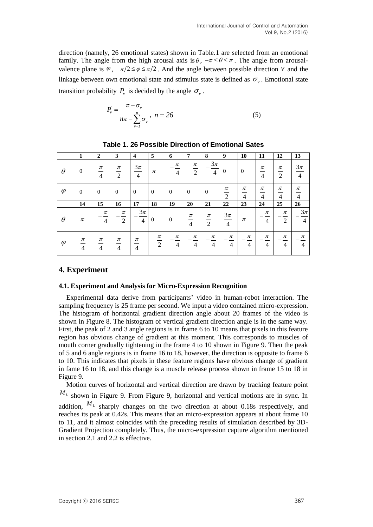direction (namely, 26 emotional states) shown in Table.1 are selected from an emotional family. The angle from the high arousal axis is  $\theta$ ,  $-\pi \le \theta \le \pi$ . The angle from arousalvalence plane is  $\varphi$ ,  $-\pi/2 \le \varphi \le \pi/2$ . And the angle between possible direction  $\nu$  and the linkage between own emotional state and stimulus state is defined as  $\sigma_{\nu}$ . Emotional state transition probability  $P_{\nu}$  is decided by the angle  $\sigma_{\nu}$ .  $\sigma_{\nu}$ . ional states) shown<br> *e* high arousal axis<br>  $\epsilon \varphi \le \pi/2$ . And the and<br>
ional state and stimu<br>
decided by the angle<br>  $\frac{\sigma_v}{\sum_{v=1}^n \sigma_v}$ ,  $n = 26$ <br>
6 Possible Direct International Journal of Control and Automation<br>
Vol.9, No.2 (2016)<br>
motional states) shown in Table.1 are selected from an emotional<br>
the high arousal axis is  $\theta$ ,  $-\pi \le \theta \le \pi$ . The angle from arousal-<br>  $\sqrt{2} \le \varphi \le \pi/$ International Journal of Control and Automation<br>
Vol.9, No.2 (2016)<br>
motional states) shown in Table.1 are selected from an emotional<br>
n the high arousal axis is  $\theta$ ,  $-\pi \le \theta \le \pi$ . The angle from arousal-<br>  $r/2 \le \varphi \le \pi/$ states) shown in Table.1 are selected fr<br>
n arousal axis is  $\theta$ ,  $-\pi \le \theta \le \pi$ . The ang<br>  $\frac{1}{2}$ . And the angle between possible din<br>
state and stimulus state is defined as  $\sigma$ ,<br>
ed by the angle  $\sigma$ ,<br>
.,  $n = 26$  (5)

$$
P_{\nu} = \frac{\pi - \sigma_{\nu}}{n\pi - \sum_{\nu=1}^{n} \sigma_{\nu}}, \quad n = 26 \tag{5}
$$

|           | 1                                        | $\mathbf{2}$            | $\mathbf{3}$            | $\overline{\mathbf{4}}$            | 5              | 6                       | 7                       | 8                        | 9                       | 10         | 11                      | 12                      | 13                       |
|-----------|------------------------------------------|-------------------------|-------------------------|------------------------------------|----------------|-------------------------|-------------------------|--------------------------|-------------------------|------------|-------------------------|-------------------------|--------------------------|
| $\theta$  | $\overline{0}$                           | $\pi$<br>$\frac{1}{4}$  | $\pi$<br>$\overline{2}$ | $\frac{3\pi}{4}$<br>$\overline{4}$ | $\pi$          | $\pi$<br>$\overline{4}$ | π<br>2                  | $3\pi$<br>$\overline{4}$ | $\theta$                | $\theta$   | $\pi$<br>$\overline{4}$ | $\pi$<br>$\frac{1}{2}$  | $3\pi$<br>$\overline{4}$ |
| $\varphi$ | $\overline{0}$                           | $\theta$                | $\theta$                | $\overline{0}$                     | $\overline{0}$ | $\mathbf{0}$            | $\mathbf{0}$            | $\theta$                 | π<br>$\overline{2}$     | π<br>4     | π<br>$\overline{4}$     | $\pi$<br>$\overline{4}$ | $\pi$<br>$\overline{4}$  |
|           | 14                                       | 15                      | 16                      | 17                                 | 18             | 19                      | 20                      | 21                       | 22                      | 23         | 24                      | 25                      | 26                       |
| $\theta$  | $\pi$                                    | $\pi$<br>$\overline{4}$ | $\pi$<br>2              | $3\pi$<br>$\overline{4}$           | $\theta$       | $\Omega$                | $\pi$<br>$\overline{4}$ | $\pi$<br>$\frac{1}{2}$   | $\frac{3\pi}{4}$        | $\pi$      | $\pi$<br>$\overline{4}$ | $\pi$<br>$\overline{2}$ | $3\pi$<br>$\overline{4}$ |
| $\varphi$ | $\frac{\pi}{\sqrt{2}}$<br>$\overline{4}$ | $\pi$<br>$\overline{4}$ | $\pi$<br>$\overline{4}$ | $\pi$<br>4                         | π<br>2         | $\pi$<br>$\overline{4}$ | $\pi$<br>4              | $\pi$<br>$\overline{4}$  | $\pi$<br>$\overline{4}$ | $\pi$<br>4 | $\pi$<br>$\overline{4}$ | $\pi$<br>$\overline{4}$ | $\pi$<br>$\overline{4}$  |

**Table 1. 26 Possible Direction of Emotional Sates**

# **4. Experiment**

### **4.1. Experiment and Analysis for Micro-Expression Recognition**

Experimental data derive from participants' video in human-robot interaction. The sampling frequency is 25 frame per second. We input a video contained micro-expression. The histogram of horizontal gradient direction angle about 20 frames of the video is shown in Figure 8. The histogram of vertical gradient direction angle is in the same way. First, the peak of 2 and 3 angle regions is in frame 6 to 10 means that pixels in this feature region has obvious change of gradient at this moment. This corresponds to muscles of mouth corner gradually tightening in the frame 4 to 10 shown in Figure 9. Then the peak of 5 and 6 angle regions is in frame 16 to 18, however, the direction is opposite to frame 6 to 10. This indicates that pixels in these feature regions have obvious change of gradient in fame 16 to 18, and this change is a muscle release process shown in frame 15 to 18 in Figure 9.

Motion curves of horizontal and vertical direction are drawn by tracking feature point *M<sup>L</sup>* shown in Figure 9. From Figure 9, horizontal and vertical motions are in sync. In addition,  $M_L$  sharply changes on the two direction at about 0.18s respectively, and reaches its peak at 0.42s. This means that an micro-expression appears at about frame 10 to 11, and it almost coincides with the preceding results of simulation described by 3D-Gradient Projection completely. Thus, the micro-expression capture algorithm mentioned in section 2.1 and 2.2 is effective.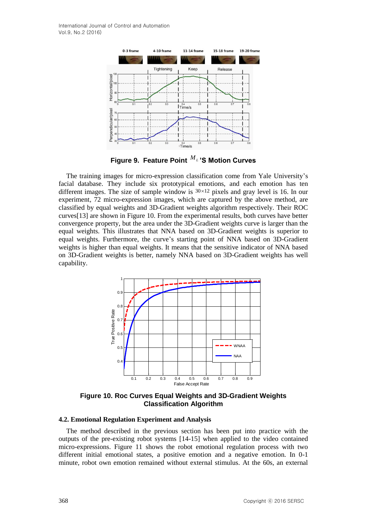

**Figure 9. Feature Point**  *M<sup>L</sup>* **'S Motion Curves**

The training images for micro-expression classification come from Yale University's facial database. They include six prototypical emotions, and each emotion has ten different images. The size of sample window is  $30 \times 12$  pixels and gray level is 16. In our experiment, 72 micro-expression images, which are captured by the above method, are classified by equal weights and 3D-Gradient weights algorithm respectively. Their ROC curves[13] are shown in Figure 10. From the experimental results, both curves have better convergence property, but the area under the 3D-Gradient weights curve is larger than the equal weights. This illustrates that NNA based on 3D-Gradient weights is superior to equal weights. Furthermore, the curve's starting point of NNA based on 3D-Gradient weights is higher than equal weights. It means that the sensitive indicator of NNA based on 3D-Gradient weights is better, namely NNA based on 3D-Gradient weights has well capability.



**Figure 10. Roc Curves Equal Weights and 3D-Gradient Weights Classification Algorithm**

#### **4.2. Emotional Regulation Experiment and Analysis**

The method described in the previous section has been put into practice with the outputs of the pre-existing robot systems [14-15] when applied to the video contained micro-expressions. Figure 11 shows the robot emotional regulation process with two different initial emotional states, a positive emotion and a negative emotion. In 0-1 minute, robot own emotion remained without external stimulus. At the 60s, an external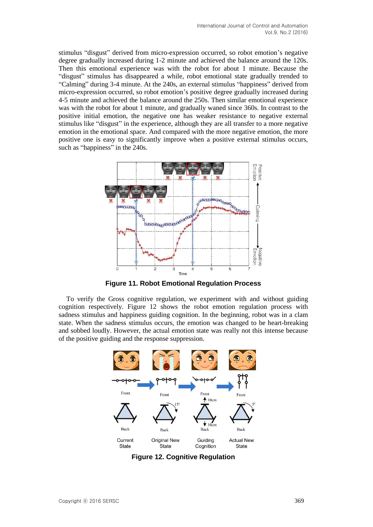stimulus "disgust" derived from micro-expression occurred, so robot emotion's negative degree gradually increased during 1-2 minute and achieved the balance around the 120s. Then this emotional experience was with the robot for about 1 minute. Because the "disgust" stimulus has disappeared a while, robot emotional state gradually trended to "Calming" during 3-4 minute. At the 240s, an external stimulus "happiness" derived from micro-expression occurred, so robot emotion's positive degree gradually increased during 4-5 minute and achieved the balance around the 250s. Then similar emotional experience was with the robot for about 1 minute, and gradually waned since 360s. In contrast to the positive initial emotion, the negative one has weaker resistance to negative external stimulus like "disgust" in the experience, although they are all transfer to a more negative emotion in the emotional space. And compared with the more negative emotion, the more positive one is easy to significantly improve when a positive external stimulus occurs, such as "happiness" in the 240s.



**Figure 11. Robot Emotional Regulation Process**

To verify the Gross cognitive regulation, we experiment with and without guiding cognition respectively. Figure 12 shows the robot emotion regulation process with sadness stimulus and happiness guiding cognition. In the beginning, robot was in a clam state. When the sadness stimulus occurs, the emotion was changed to be heart-breaking and sobbed loudly. However, the actual emotion state was really not this intense because of the positive guiding and the response suppression.



**Figure 12. Cognitive Regulation**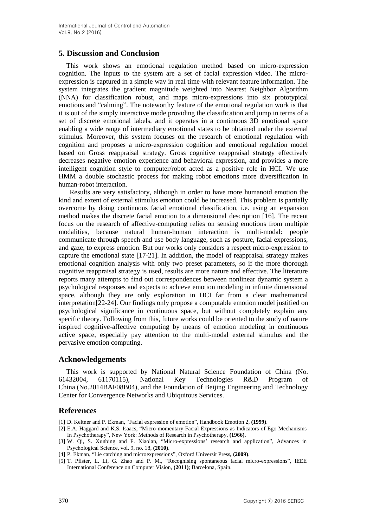### **5. Discussion and Conclusion**

This work shows an emotional regulation method based on micro-expression cognition. The inputs to the system are a set of facial expression video. The microexpression is captured in a simple way in real time with relevant feature information. The system integrates the gradient magnitude weighted into Nearest Neighbor Algorithm (NNA) for classification robust, and maps micro-expressions into six prototypical emotions and "calming". The noteworthy feature of the emotional regulation work is that it is out of the simply interactive mode providing the classification and jump in terms of a set of discrete emotional labels, and it operates in a continuous 3D emotional space enabling a wide range of intermediary emotional states to be obtained under the external stimulus. Moreover, this system focuses on the research of emotional regulation with cognition and proposes a micro-expression cognition and emotional regulation model based on Gross reappraisal strategy. Gross cognitive reappraisal strategy effectively decreases negative emotion experience and behavioral expression, and provides a more intelligent cognition style to computer/robot acted as a positive role in HCI. We use HMM a double stochastic process for making robot emotions more diversification in human-robot interaction.

 Results are very satisfactory, although in order to have more humanoid emotion the kind and extent of external stimulus emotion could be increased. This problem is partially overcome by doing continuous facial emotional classification, i.e. using an expansion method makes the discrete facial emotion to a dimensional description [16]. The recent focus on the research of affective-computing relies on sensing emotions from multiple modalities, because natural human-human interaction is multi-modal: people communicate through speech and use body language, such as posture, facial expressions, and gaze, to express emotion. But our works only considers a respect micro-expression to capture the emotional state [17-21]. In addition, the model of reappraisal strategy makes emotional cognition analysis with only two preset parameters, so if the more thorough cognitive reappraisal strategy is used, results are more nature and effective. The literature reports many attempts to find out correspondences between nonlinear dynamic system a psychological responses and expects to achieve emotion modeling in infinite dimensional space, although they are only exploration in HCI far from a clear mathematical interpretation[22-24]. Our findings only propose a computable emotion model justified on psychological significance in continuous space, but without completely explain any specific theory. Following from this, future works could be oriented to the study of nature inspired cognitive-affective computing by means of emotion modeling in continuous active space, especially pay attention to the multi-modal external stimulus and the pervasive emotion computing.

### **Acknowledgements**

This work is supported by National Natural Science Foundation of China (No. 61432004, 61170115), National Key Technologies R&D Program China (No.2014BAF08B04), and the Foundation of Beijing Engineering and Technology Center for Convergence Networks and Ubiquitous Services.

## **References**

[1] D. Keltner and P. Ekman, "Facial expression of emotion", Handbook Emotion 2, **(1999)**.

- [2] E.A. Haggard and K.S. Isaacs, "Micro-momentary Facial Expressions as Indicators of Ego Mechanisms In Psychotherapy", New York: Methods of Research in Psychotherapy, **(1966)**.
- [3] W. Qi, S. Xunbing and F. Xiaolan, "Micro-expressions' research and application", Advances in Psychological Science, vol. 9, no. 18, **(2010)**.
- [4] P. Ekman, "Lie catching and microexpressions", Oxford Universit Press**, (2009)**.
- [5] T. Pfister, L. Li, G. Zhao and P. M., "Recognising spontaneous facial micro-expressions", IEEE International Conference on Computer Vision, **(2011)**; Barcelona, Spain.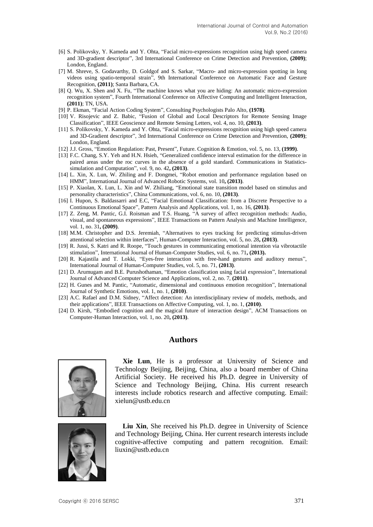- [6] S. Polikovsky, Y. Kameda and Y. Ohta, "Facial micro-expressions recognition using high speed camera and 3D-gradient descriptor", 3rd International Conference on Crime Detection and Prevention, **(2009)**; London, England.
- [7] M. Shreve, S. Godavarthy, D. Goldgof and S. Sarkar, "Macro- and micro-expression spotting in long videos using spatio-temporal strain", 9th International Conference on Automatic Face and Gesture Recognition, **(2011)**; Santa Barbara, CA.
- [8] Q. Wu, X. Shen and X. Fu, "The machine knows what you are hiding: An automatic micro-expression recognition system", Fourth International Conference on Affective Computing and Intelligent Interaction, **(2011)**; TN, USA.
- [9] P. Ekman, "Facial Action Coding System", Consulting Psychologists Palo Alto, **(1978)**.
- [10] V. Risojevic and Z. Babic, "Fusion of Global and Local Descriptors for Remote Sensing Image Classification", IEEE Geoscience and Remote Sensing Letters, vol. 4, no. 10, **(2013)**.
- [11] S. Polikovsky, Y. Kameda and Y. Ohta, "Facial micro-expressions recognition using high speed camera and 3D-Gradient descriptor", 3rd International Conference on Crime Detection and Prevention, **(2009)**; London, England.
- [12] J.J. Gross, "Emotion Regulation: Past, Present", Future. Cognition & Emotion, vol. 5, no. 13, **(1999)**.
- [13] F.C. Chang, S.Y. Yeh and H.N. Hsieh, "Generalized confidence interval estimation for the difference in paired areas under the roc curves in the absence of a gold standard. Communications in Statisticssimulation and Computation", vol. 9, no. 42**, (2013)**.
- [14] L. Xin, X. Lun, W. Zhiling and F. Dongmei, "Robot emotion and performance regulation based on HMM", International Journal of Advanced Robotic Systems, vol. 10**, (2013)**.
- [15] P. Xiaolan, X. Lun, L. Xin and W. Zhiliang, "Emotional state transition model based on stimulus and personality characteristics", China Communications, vol. 6, no. 10, **(2013)**.
- [16] I. Hupon, S. Baldassarri and E.C, ["Facial Emotional Classification: from a Discrete Perspective to a](http://apps.webofknowledge.com/full_record.do?product=UA&search_mode=GeneralSearch&qid=1&SID=4C9Hh9L5FlIDnf@i7B4&page=5&doc=41)  [Continuous Emotional Space"](http://apps.webofknowledge.com/full_record.do?product=UA&search_mode=GeneralSearch&qid=1&SID=4C9Hh9L5FlIDnf@i7B4&page=5&doc=41), Pattern Analysis and Applications, vol. 1, no. 16, **(2013)**.
- [17] Z. Zeng, M. Pantic, G.I. Roisman and T.S. Huang, "A survey of affect recognition methods: Audio, visual, and spontaneous expressions", IEEE Transactions on Pattern Analysis and Machine Intelligence, vol. 1, no. 31**, (2009)**.
- [18] M.M. Christopher and D.S. Jeremiah, "Alternatives to eyes tracking for predicting stimulus-driven attentional selection within interfaces", Human-Computer Interaction, vol. 5, no. 28**, (2013)**.
- [19] R. Jussi, S. Katri and R. Roope, "Touch gestures in communicating emotional intention via vibrotactile stimulation", International Journal of Human-Computer Studies, vol. 6, no. 71**, (2013).**
- [20] R. Kajastila and T. Lokki, "Eyes-free interaction with free-hand gestures and auditory menus", International Journal of Human-Computer Studies, vol. 5, no. 71, **(2013)**.
- [21] D. Arumugam and B.E. Purushothaman, "Emotion classification using facial expression", International Journal of Advanced Computer Science and Applications, vol. 2, no. 7, **(2011)**.
- [22] H. Gunes and M. Pantic, "Automatic, dimensional and continuous emotion recognition", International Journal of Synthetic Emotions, vol. 1, no. 1, **(2010)**.
- [23] A.C. Rafael and D.M. Sidney, "Affect detection: An interdisciplinary review of models, methods, and their applications", IEEE Transactions on Affective Computing, vol. 1, no. 1, **(2010)**.
- [24] D. Kirsh, "Embodied cognition and the magical future of interaction design", ACM Transactions on Computer-Human Interaction, vol. 1, no. 20**, (2013)**.

## **Authors**



**Xie Lun**, He is a professor at University of Science and Technology Beijing, Beijing, China, also a board member of China Artificial Society. He received his Ph.D. degree in University of Science and Technology Beijing, China. His current research interests include robotics research and affective computing. Email: xielun@ustb.edu.cn



**Liu Xin**, She received his Ph.D. degree in University of Science and Technology Beijing, China. Her current research interests include cognitive-affective computing and pattern recognition. Email: liuxin@ustb.edu.cn